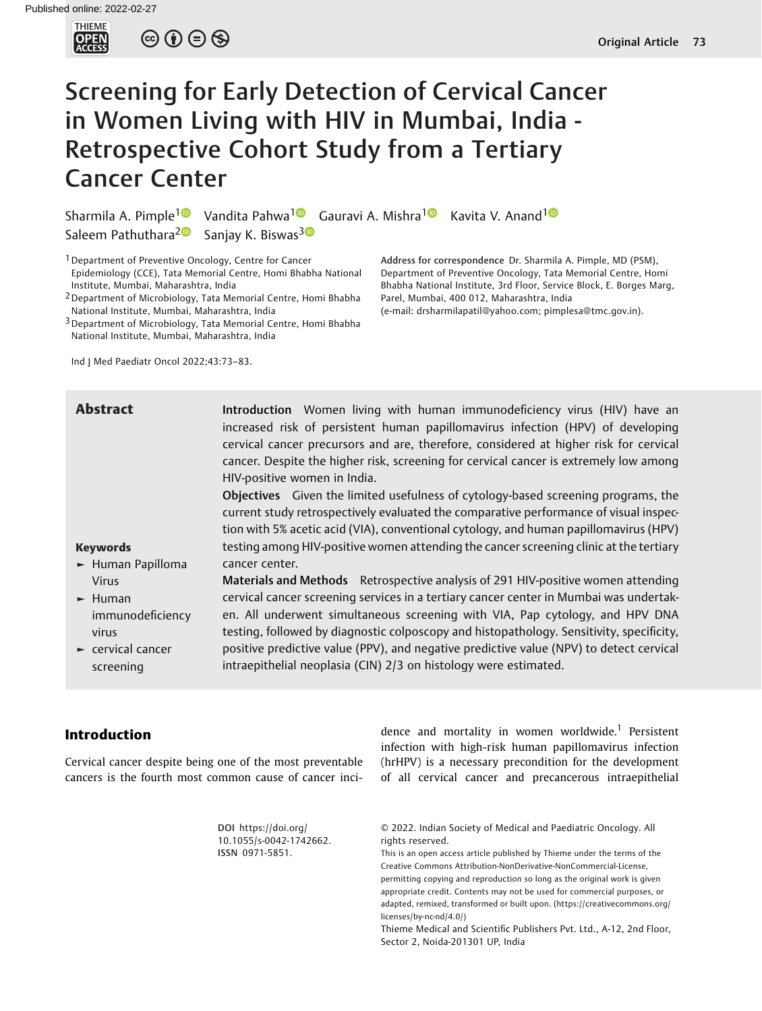

 $\circledcirc \circledcirc \circledcirc$ 

# Screening for Early Detection of Cervical Cancer in Women Living with HIV in Mumbai, India - Retrospective Cohort Study from a Tertiary Cancer Center

Sharmila A. Pimple<sup>[1](https://orcid.org/0000-0002-0154-7302)</sup> Vandita Pahwa<sup>1</sup> Gauravi A. Mishra<sup>1</sup> Kavita V. Anand<sup>1</sup> Saleem Pathuthara<sup>[2](https://orcid.org/0000-0002-7771-7822)</sup><sup>0</sup> Sanjay K. Biswas<sup>[3](https://orcid.org/0000-0002-9802-0848)</sup><sup>0</sup>

<sup>1</sup> Department of Preventive Oncology, Centre for Cancer Epidemiology (CCE), Tata Memorial Centre, Homi Bhabha National Institute, Mumbai, Maharashtra, India

2Department of Microbiology, Tata Memorial Centre, Homi Bhabha National Institute, Mumbai, Maharashtra, India

<sup>3</sup> Department of Microbiology, Tata Memorial Centre, Homi Bhabha National Institute, Mumbai, Maharashtra, India

Ind J Med Paediatr Oncol 2022;43:73–83.

Address for correspondence Dr. Sharmila A. Pimple, MD (PSM), Department of Preventive Oncology, Tata Memorial Centre, Homi Bhabha National Institute, 3rd Floor, Service Block, E. Borges Marg, Parel, Mumbai, 400 012, Maharashtra, India

(e-mail: [drsharmilapatil@yahoo.com](mailto:drsharmilapatil@yahoo.com); [pimplesa@tmc.gov.in\)](mailto:pimplesa@tmc.gov.in).

Keywords ► Human Papilloma Virus ► Human immunodeficiency virus ► cervical cancer screening Abstract Introduction Women living with human immunodeficiency virus (HIV) have an increased risk of persistent human papillomavirus infection (HPV) of developing cervical cancer precursors and are, therefore, considered at higher risk for cervical cancer. Despite the higher risk, screening for cervical cancer is extremely low among HIV-positive women in India. Objectives Given the limited usefulness of cytology-based screening programs, the current study retrospectively evaluated the comparative performance of visual inspection with 5% acetic acid (VIA), conventional cytology, and human papillomavirus (HPV) testing among HIV-positive women attending the cancer screening clinic at the tertiary cancer center. Materials and Methods Retrospective analysis of 291 HIV-positive women attending cervical cancer screening services in a tertiary cancer center in Mumbai was undertaken. All underwent simultaneous screening with VIA, Pap cytology, and HPV DNA testing, followed by diagnostic colposcopy and histopathology. Sensitivity, specificity, positive predictive value (PPV), and negative predictive value (NPV) to detect cervical intraepithelial neoplasia (CIN) 2/3 on histology were estimated.

## Introduction

Cervical cancer despite being one of the most preventable cancers is the fourth most common cause of cancer inci-

infection with high-risk human papillomavirus infection (hrHPV) is a necessary precondition for the development of all cervical cancer and precancerous intraepithelial

dence and mortality in women worldwide.<sup>1</sup> Persistent

DOI [https://doi.org/](https://doi.org/10.1055/s-0042-1742662) [10.1055/s-0042-1742662](https://doi.org/10.1055/s-0042-1742662). ISSN 0971-5851.

© 2022. Indian Society of Medical and Paediatric Oncology. All rights reserved.

This is an open access article published by Thieme under the terms of the Creative Commons Attribution-NonDerivative-NonCommercial-License, permitting copying and reproduction so long as the original work is given appropriate credit. Contents may not be used for commercial purposes, or adapted, remixed, transformed or built upon. (https://creativecommons.org/ licenses/by-nc-nd/4.0/)

Thieme Medical and Scientific Publishers Pvt. Ltd., A-12, 2nd Floor, Sector 2, Noida-201301 UP, India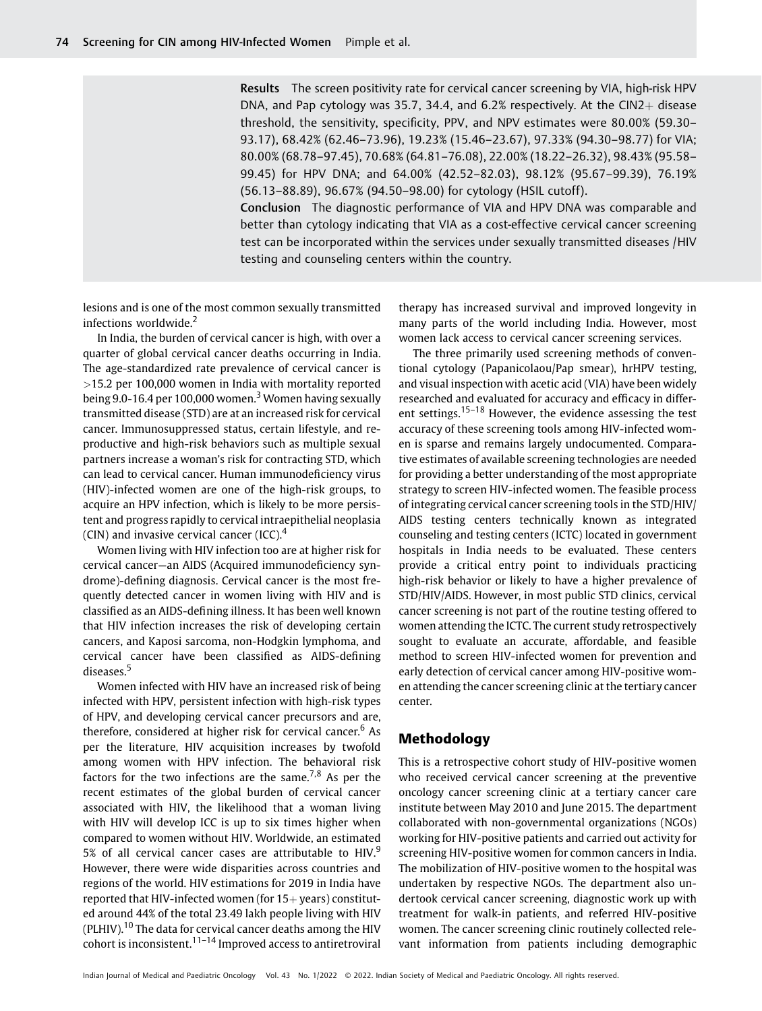Results The screen positivity rate for cervical cancer screening by VIA, high-risk HPV DNA, and Pap cytology was 35.7, 34.4, and  $6.2%$  respectively. At the CIN2+ disease threshold, the sensitivity, specificity, PPV, and NPV estimates were 80.00% (59.30– 93.17), 68.42% (62.46–73.96), 19.23% (15.46–23.67), 97.33% (94.30–98.77) for VIA; 80.00% (68.78–97.45), 70.68% (64.81–76.08), 22.00% (18.22–26.32), 98.43% (95.58– 99.45) for HPV DNA; and 64.00% (42.52–82.03), 98.12% (95.67–99.39), 76.19% (56.13–88.89), 96.67% (94.50–98.00) for cytology (HSIL cutoff).

Conclusion The diagnostic performance of VIA and HPV DNA was comparable and better than cytology indicating that VIA as a cost-effective cervical cancer screening test can be incorporated within the services under sexually transmitted diseases /HIV testing and counseling centers within the country.

lesions and is one of the most common sexually transmitted infections worldwide.<sup>2</sup>

In India, the burden of cervical cancer is high, with over a quarter of global cervical cancer deaths occurring in India. The age-standardized rate prevalence of cervical cancer is >15.2 per 100,000 women in India with mortality reported being 9.0-16.4 per 100,000 women.<sup>3</sup> Women having sexually transmitted disease (STD) are at an increased risk for cervical cancer. Immunosuppressed status, certain lifestyle, and reproductive and high-risk behaviors such as multiple sexual partners increase a woman's risk for contracting STD, which can lead to cervical cancer. Human immunodeficiency virus (HIV)-infected women are one of the high-risk groups, to acquire an HPV infection, which is likely to be more persistent and progress rapidly to cervical intraepithelial neoplasia (CIN) and invasive cervical cancer  $(ICC)^{4}$ 

Women living with HIV infection too are at higher risk for cervical cancer—an AIDS (Acquired immunodeficiency syndrome)-defining diagnosis. Cervical cancer is the most frequently detected cancer in women living with HIV and is classified as an AIDS-defining illness. It has been well known that HIV infection increases the risk of developing certain cancers, and Kaposi sarcoma, non-Hodgkin lymphoma, and cervical cancer have been classified as AIDS-defining diseases.<sup>5</sup>

Women infected with HIV have an increased risk of being infected with HPV, persistent infection with high-risk types of HPV, and developing cervical cancer precursors and are, therefore, considered at higher risk for cervical cancer.<sup>6</sup> As per the literature, HIV acquisition increases by twofold among women with HPV infection. The behavioral risk factors for the two infections are the same.<sup>7,8</sup> As per the recent estimates of the global burden of cervical cancer associated with HIV, the likelihood that a woman living with HIV will develop ICC is up to six times higher when compared to women without HIV. Worldwide, an estimated 5% of all cervical cancer cases are attributable to HIV.<sup>9</sup> However, there were wide disparities across countries and regions of the world. HIV estimations for 2019 in India have reported that HIV-infected women (for  $15+$  years) constituted around 44% of the total 23.49 lakh people living with HIV (PLHIV).<sup>10</sup> The data for cervical cancer deaths among the HIV cohort is inconsistent. $11-14$  Improved access to antiretroviral therapy has increased survival and improved longevity in many parts of the world including India. However, most women lack access to cervical cancer screening services.

The three primarily used screening methods of conventional cytology (Papanicolaou/Pap smear), hrHPV testing, and visual inspection with acetic acid (VIA) have been widely researched and evaluated for accuracy and efficacy in different settings.<sup>15-18</sup> However, the evidence assessing the test accuracy of these screening tools among HIV-infected women is sparse and remains largely undocumented. Comparative estimates of available screening technologies are needed for providing a better understanding of the most appropriate strategy to screen HIV-infected women. The feasible process of integrating cervical cancer screening tools in the STD/HIV/ AIDS testing centers technically known as integrated counseling and testing centers (ICTC) located in government hospitals in India needs to be evaluated. These centers provide a critical entry point to individuals practicing high-risk behavior or likely to have a higher prevalence of STD/HIV/AIDS. However, in most public STD clinics, cervical cancer screening is not part of the routine testing offered to women attending the ICTC. The current study retrospectively sought to evaluate an accurate, affordable, and feasible method to screen HIV-infected women for prevention and early detection of cervical cancer among HIV-positive women attending the cancer screening clinic at the tertiary cancer center.

## Methodology

This is a retrospective cohort study of HIV-positive women who received cervical cancer screening at the preventive oncology cancer screening clinic at a tertiary cancer care institute between May 2010 and June 2015. The department collaborated with non-governmental organizations (NGOs) working for HIV-positive patients and carried out activity for screening HIV-positive women for common cancers in India. The mobilization of HIV-positive women to the hospital was undertaken by respective NGOs. The department also undertook cervical cancer screening, diagnostic work up with treatment for walk-in patients, and referred HIV-positive women. The cancer screening clinic routinely collected relevant information from patients including demographic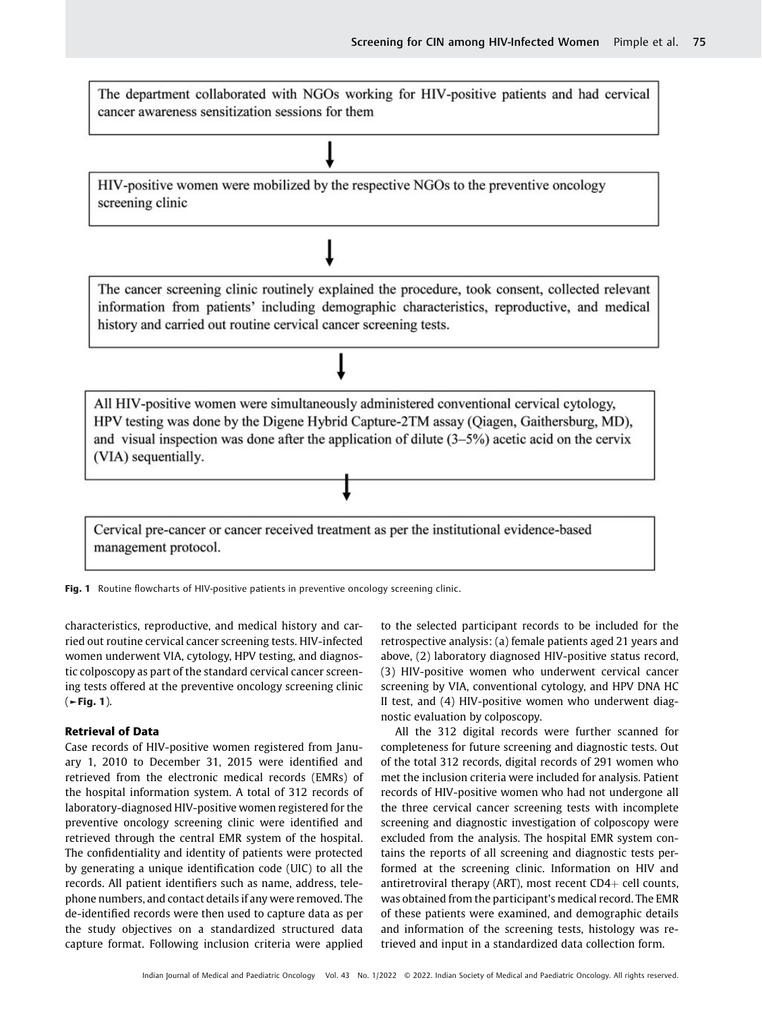The department collaborated with NGOs working for HIV-positive patients and had cervical cancer awareness sensitization sessions for them

HIV-positive women were mobilized by the respective NGOs to the preventive oncology screening clinic



Fig. 1 Routine flowcharts of HIV-positive patients in preventive oncology screening clinic.

characteristics, reproductive, and medical history and carried out routine cervical cancer screening tests. HIV-infected women underwent VIA, cytology, HPV testing, and diagnostic colposcopy as part of the standard cervical cancer screening tests offered at the preventive oncology screening clinic  $($   $\blacktriangleright$  Fig. 1).

#### Retrieval of Data

Case records of HIV-positive women registered from January 1, 2010 to December 31, 2015 were identified and retrieved from the electronic medical records (EMRs) of the hospital information system. A total of 312 records of laboratory-diagnosed HIV-positive women registered for the preventive oncology screening clinic were identified and retrieved through the central EMR system of the hospital. The confidentiality and identity of patients were protected by generating a unique identification code (UIC) to all the records. All patient identifiers such as name, address, telephone numbers, and contact details if any were removed. The de-identified records were then used to capture data as per the study objectives on a standardized structured data capture format. Following inclusion criteria were applied

to the selected participant records to be included for the retrospective analysis: (a) female patients aged 21 years and above, (2) laboratory diagnosed HIV-positive status record, (3) HIV-positive women who underwent cervical cancer screening by VIA, conventional cytology, and HPV DNA HC II test, and (4) HIV-positive women who underwent diagnostic evaluation by colposcopy.

All the 312 digital records were further scanned for completeness for future screening and diagnostic tests. Out of the total 312 records, digital records of 291 women who met the inclusion criteria were included for analysis. Patient records of HIV-positive women who had not undergone all the three cervical cancer screening tests with incomplete screening and diagnostic investigation of colposcopy were excluded from the analysis. The hospital EMR system contains the reports of all screening and diagnostic tests performed at the screening clinic. Information on HIV and antiretroviral therapy (ART), most recent  $CD4+$  cell counts, was obtained from the participant's medical record. The EMR of these patients were examined, and demographic details and information of the screening tests, histology was retrieved and input in a standardized data collection form.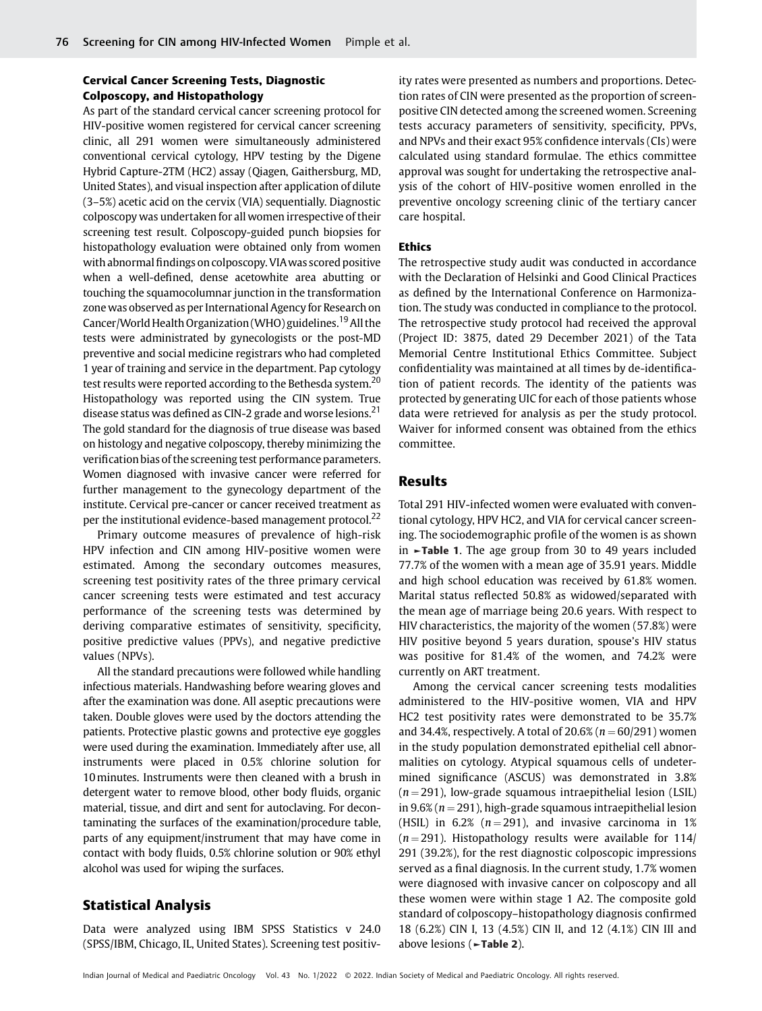## Cervical Cancer Screening Tests, Diagnostic Colposcopy, and Histopathology

As part of the standard cervical cancer screening protocol for HIV-positive women registered for cervical cancer screening clinic, all 291 women were simultaneously administered conventional cervical cytology, HPV testing by the Digene Hybrid Capture-2TM (HC2) assay (Qiagen, Gaithersburg, MD, United States), and visual inspection after application of dilute (3–5%) acetic acid on the cervix (VIA) sequentially. Diagnostic colposcopy was undertaken for all women irrespective of their screening test result. Colposcopy-guided punch biopsies for histopathology evaluation were obtained only from women with abnormal findings on colposcopy. VIA was scored positive when a well-defined, dense acetowhite area abutting or touching the squamocolumnar junction in the transformation zone was observed as per International Agency for Research on Cancer/World Health Organization (WHO) guidelines.<sup>19</sup> All the tests were administrated by gynecologists or the post-MD preventive and social medicine registrars who had completed 1 year of training and service in the department. Pap cytology test results were reported according to the Bethesda system.<sup>20</sup> Histopathology was reported using the CIN system. True disease status was defined as CIN-2 grade and worse lesions.<sup>21</sup> The gold standard for the diagnosis of true disease was based on histology and negative colposcopy, thereby minimizing the verification bias of the screening test performance parameters. Women diagnosed with invasive cancer were referred for further management to the gynecology department of the institute. Cervical pre-cancer or cancer received treatment as per the institutional evidence-based management protocol.<sup>22</sup>

Primary outcome measures of prevalence of high-risk HPV infection and CIN among HIV-positive women were estimated. Among the secondary outcomes measures, screening test positivity rates of the three primary cervical cancer screening tests were estimated and test accuracy performance of the screening tests was determined by deriving comparative estimates of sensitivity, specificity, positive predictive values (PPVs), and negative predictive values (NPVs).

All the standard precautions were followed while handling infectious materials. Handwashing before wearing gloves and after the examination was done. All aseptic precautions were taken. Double gloves were used by the doctors attending the patients. Protective plastic gowns and protective eye goggles were used during the examination. Immediately after use, all instruments were placed in 0.5% chlorine solution for 10minutes. Instruments were then cleaned with a brush in detergent water to remove blood, other body fluids, organic material, tissue, and dirt and sent for autoclaving. For decontaminating the surfaces of the examination/procedure table, parts of any equipment/instrument that may have come in contact with body fluids, 0.5% chlorine solution or 90% ethyl alcohol was used for wiping the surfaces.

## Statistical Analysis

Data were analyzed using IBM SPSS Statistics v 24.0 (SPSS/IBM, Chicago, IL, United States). Screening test positiv-

ity rates were presented as numbers and proportions. Detection rates of CIN were presented as the proportion of screenpositive CIN detected among the screened women. Screening tests accuracy parameters of sensitivity, specificity, PPVs, and NPVs and their exact 95% confidence intervals (CIs) were calculated using standard formulae. The ethics committee approval was sought for undertaking the retrospective analysis of the cohort of HIV-positive women enrolled in the preventive oncology screening clinic of the tertiary cancer care hospital.

#### Ethics

The retrospective study audit was conducted in accordance with the Declaration of Helsinki and Good Clinical Practices as defined by the International Conference on Harmonization. The study was conducted in compliance to the protocol. The retrospective study protocol had received the approval (Project ID: 3875, dated 29 December 2021) of the Tata Memorial Centre Institutional Ethics Committee. Subject confidentiality was maintained at all times by de-identification of patient records. The identity of the patients was protected by generating UIC for each of those patients whose data were retrieved for analysis as per the study protocol. Waiver for informed consent was obtained from the ethics committee.

### Results

Total 291 HIV-infected women were evaluated with conventional cytology, HPV HC2, and VIA for cervical cancer screening. The sociodemographic profile of the women is as shown in ►Table 1. The age group from 30 to 49 years included 77.7% of the women with a mean age of 35.91 years. Middle and high school education was received by 61.8% women. Marital status reflected 50.8% as widowed/separated with the mean age of marriage being 20.6 years. With respect to HIV characteristics, the majority of the women (57.8%) were HIV positive beyond 5 years duration, spouse's HIV status was positive for 81.4% of the women, and 74.2% were currently on ART treatment.

Among the cervical cancer screening tests modalities administered to the HIV-positive women, VIA and HPV HC2 test positivity rates were demonstrated to be 35.7% and 34.4%, respectively. A total of  $20.6\%$  ( $n = 60/291$ ) women in the study population demonstrated epithelial cell abnormalities on cytology. Atypical squamous cells of undetermined significance (ASCUS) was demonstrated in 3.8%  $(n = 291)$ , low-grade squamous intraepithelial lesion (LSIL) in 9.6% ( $n = 291$ ), high-grade squamous intraepithelial lesion (HSIL) in 6.2% ( $n = 291$ ), and invasive carcinoma in 1%  $(n = 291)$ . Histopathology results were available for 114/ 291 (39.2%), for the rest diagnostic colposcopic impressions served as a final diagnosis. In the current study, 1.7% women were diagnosed with invasive cancer on colposcopy and all these women were within stage 1 A2. The composite gold standard of colposcopy–histopathology diagnosis confirmed 18 (6.2%) CIN I, 13 (4.5%) CIN II, and 12 (4.1%) CIN III and above lesions (►Table 2).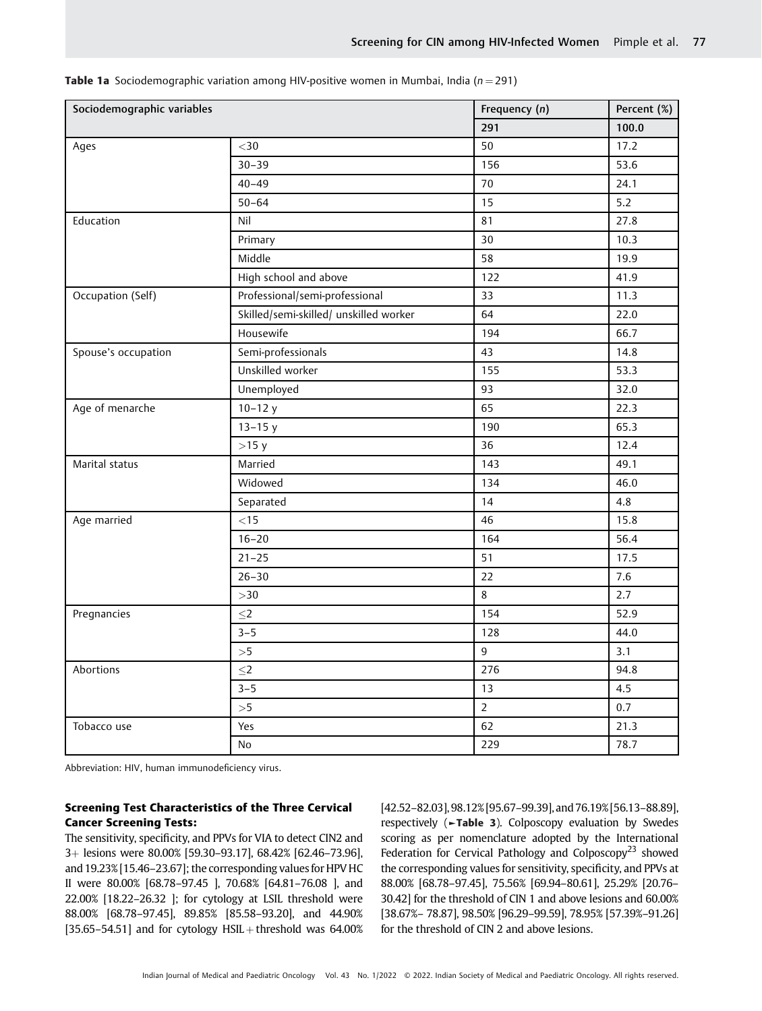| Sociodemographic variables |                                        | Frequency (n)  | Percent (%) |
|----------------------------|----------------------------------------|----------------|-------------|
|                            |                                        | 291            | 100.0       |
| Ages                       | $<$ 30                                 | 50             | 17.2        |
|                            | $30 - 39$                              | 156            | 53.6        |
|                            | $40 - 49$                              | 70             | 24.1        |
|                            | $50 - 64$                              | 15             | $5.2$       |
| Education                  | Nil                                    | 81             | 27.8        |
|                            | Primary                                | 30             | 10.3        |
|                            | Middle                                 | 58             | 19.9        |
|                            | High school and above                  | 122            | 41.9        |
| Occupation (Self)          | Professional/semi-professional         | 33             | 11.3        |
|                            | Skilled/semi-skilled/ unskilled worker | 64             | 22.0        |
|                            | Housewife                              | 194            | 66.7        |
| Spouse's occupation        | Semi-professionals                     | 43             | 14.8        |
|                            | Unskilled worker                       | 155            | 53.3        |
|                            | Unemployed                             | 93             | 32.0        |
| Age of menarche            | $10 - 12y$                             | 65             | 22.3        |
|                            | $13 - 15y$                             | 190            | 65.3        |
|                            | $>15$ y                                | 36             | 12.4        |
| Marital status             | Married                                | 143            | 49.1        |
|                            | Widowed                                | 134            | 46.0        |
|                            | Separated                              | 14             | 4.8         |
| Age married                | $<15$                                  | 46             | 15.8        |
|                            | $16 - 20$                              | 164            | 56.4        |
|                            | $21 - 25$                              | 51             | 17.5        |
|                            | $26 - 30$                              | 22             | 7.6         |
|                            | $>\!\!30$                              | 8              | 2.7         |
| Pregnancies                | $\leq$ 2                               | 154            | 52.9        |
|                            | $3 - 5$                                | 128            | 44.0        |
|                            | >5                                     | 9              | 3.1         |
| Abortions                  | $\leq$ 2                               | 276            | 94.8        |
|                            | $3 - 5$                                | 13             | 4.5         |
|                            | >5                                     | $\overline{2}$ | 0.7         |
| Tobacco use                | Yes                                    | 62             | 21.3        |
|                            | <b>No</b>                              | 229            | 78.7        |

**Table 1a** Sociodemographic variation among HIV-positive women in Mumbai, India ( $n = 291$ )

Abbreviation: HIV, human immunodeficiency virus.

#### Screening Test Characteristics of the Three Cervical Cancer Screening Tests:

The sensitivity, specificity, and PPVs for VIA to detect CIN2 and 3þ lesions were 80.00% [59.30–93.17], 68.42% [62.46–73.96], and 19.23% [15.46–23.67]; the corresponding values for HPV HC II were 80.00% [68.78–97.45 ], 70.68% [64.81–76.08 ], and 22.00% [18.22–26.32 ]; for cytology at LSIL threshold were 88.00% [68.78–97.45], 89.85% [85.58–93.20], and 44.90% [35.65–54.51] and for cytology  $HSIL$  + threshold was 64.00% [42.52–82.03], 98.12% [95.67–99.39], and 76.19% [56.13–88.89], respectively (►Table 3). Colposcopy evaluation by Swedes scoring as per nomenclature adopted by the International Federation for Cervical Pathology and Colposcopy<sup>23</sup> showed the corresponding values for sensitivity, specificity, and PPVs at 88.00% [68.78–97.45], 75.56% [69.94–80.61], 25.29% [20.76– 30.42] for the threshold of CIN 1 and above lesions and 60.00% [38.67%– 78.87], 98.50% [96.29–99.59], 78.95% [57.39%–91.26] for the threshold of CIN 2 and above lesions.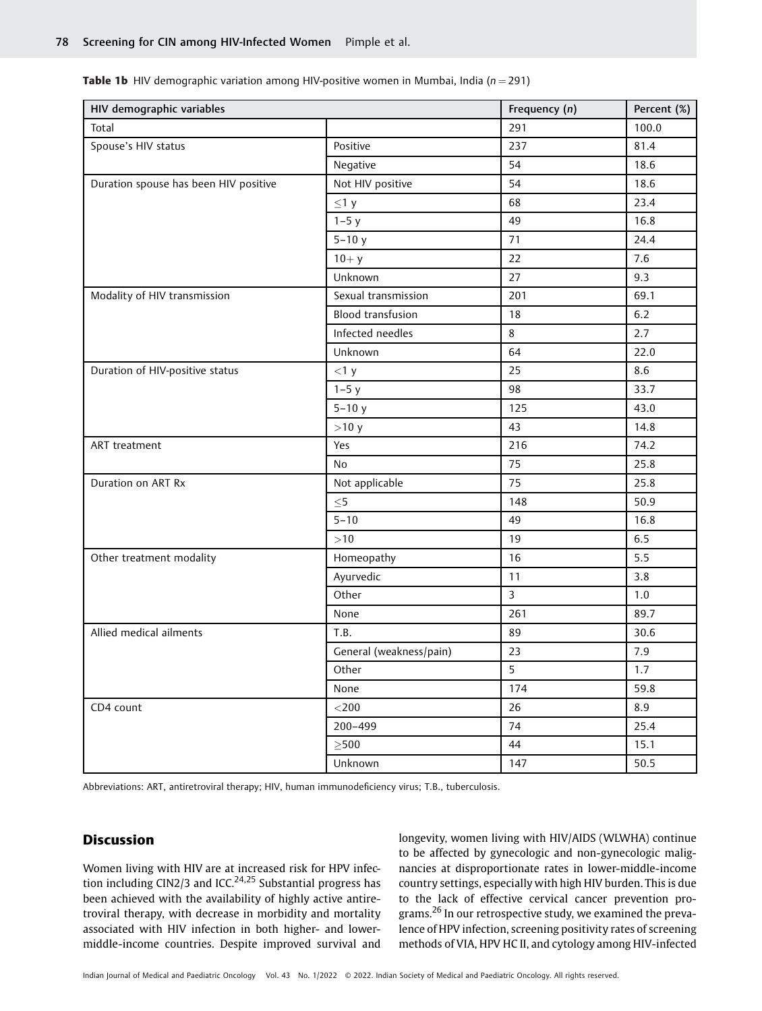| HIV demographic variables             |                          | Frequency (n)  | Percent (%) |
|---------------------------------------|--------------------------|----------------|-------------|
| Total                                 |                          | 291            | 100.0       |
| Spouse's HIV status                   | Positive                 | 237            | 81.4        |
|                                       | Negative                 | 54             | 18.6        |
| Duration spouse has been HIV positive | Not HIV positive         | 54             | 18.6        |
|                                       | $\leq$ 1 y               | 68             | 23.4        |
|                                       | $1-5y$                   | 49             | 16.8        |
|                                       | $5 - 10y$                | 71             | 24.4        |
|                                       | $10 + y$                 | 22             | 7.6         |
|                                       | Unknown                  | 27             | 9.3         |
| Modality of HIV transmission          | Sexual transmission      | 201            | 69.1        |
|                                       | <b>Blood transfusion</b> | 18             | 6.2         |
|                                       | Infected needles         | 8              | 2.7         |
|                                       | Unknown                  | 64             | 22.0        |
| Duration of HIV-positive status       | <1 y                     | 25             | 8.6         |
|                                       | $1-5y$                   | 98             | 33.7        |
|                                       | $5 - 10y$                | 125            | 43.0        |
|                                       | >10 y                    | 43             | 14.8        |
| ART treatment                         | Yes                      | 216            | 74.2        |
|                                       | No                       | 75             | 25.8        |
| Duration on ART Rx                    | Not applicable           | 75             | 25.8        |
|                                       | $\leq$ 5                 | 148            | 50.9        |
|                                       | $5 - 10$                 | 49             | 16.8        |
|                                       | >10                      | 19             | 6.5         |
| Other treatment modality              | Homeopathy               | 16             | 5.5         |
|                                       | Ayurvedic                | 11             | 3.8         |
|                                       | Other                    | $\overline{3}$ | $1.0\,$     |
|                                       | None                     | 261            | 89.7        |
| Allied medical ailments               | T.B.                     | 89             | 30.6        |
|                                       | General (weakness/pain)  | 23             | 7.9         |
|                                       | Other                    | 5              | 1.7         |
|                                       | None                     | 174            | 59.8        |
| CD4 count                             | $<$ 200 $\,$             | 26             | 8.9         |
|                                       | 200-499                  | 74             | 25.4        |
|                                       | $>500$                   | 44             | 15.1        |
|                                       | Unknown                  | 147            | 50.5        |

**Table 1b** HIV demographic variation among HIV-positive women in Mumbai, India ( $n = 291$ )

Abbreviations: ART, antiretroviral therapy; HIV, human immunodeficiency virus; T.B., tuberculosis.

#### Discussion

Women living with HIV are at increased risk for HPV infection including CIN2/3 and ICC.<sup>24,25</sup> Substantial progress has been achieved with the availability of highly active antiretroviral therapy, with decrease in morbidity and mortality associated with HIV infection in both higher- and lowermiddle-income countries. Despite improved survival and longevity, women living with HIV/AIDS (WLWHA) continue to be affected by gynecologic and non-gynecologic malignancies at disproportionate rates in lower-middle-income country settings, especially with high HIV burden. This is due to the lack of effective cervical cancer prevention programs.<sup>26</sup> In our retrospective study, we examined the prevalence of HPV infection, screening positivity rates of screening methods of VIA, HPV HC II, and cytology among HIV-infected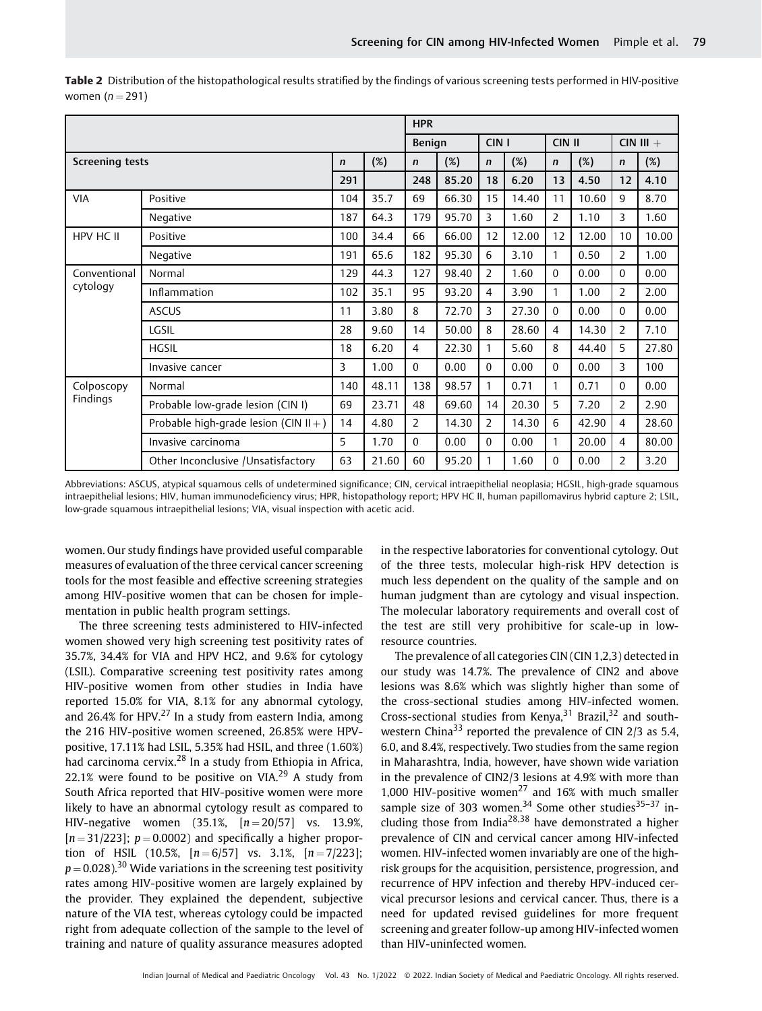|                        |                                          |             |       | <b>HPR</b>    |       |                  |       |                |       |                |             |
|------------------------|------------------------------------------|-------------|-------|---------------|-------|------------------|-------|----------------|-------|----------------|-------------|
|                        |                                          |             |       | <b>Benign</b> |       | CIN <sub>1</sub> |       | CIN II         |       |                | $CIN III +$ |
| <b>Screening tests</b> |                                          | $\mathbf n$ | (%)   | $\mathsf{n}$  | (%)   | $\mathsf{n}$     | (%)   | $\mathsf{n}$   | (%)   | $\mathsf{n}$   | (%)         |
|                        |                                          | 291         |       | 248           | 85.20 | 18               | 6.20  | 13             | 4.50  | 12             | 4.10        |
| <b>VIA</b>             | Positive                                 | 104         | 35.7  | 69            | 66.30 | 15               | 14.40 | 11             | 10.60 | 9              | 8.70        |
|                        | Negative                                 | 187         | 64.3  | 179           | 95.70 | 3                | 1.60  | $\overline{2}$ | 1.10  | 3              | 1.60        |
| HPV HC II              | Positive                                 | 100         | 34.4  | 66            | 66.00 | 12               | 12.00 | 12             | 12.00 | 10             | 10.00       |
|                        | Negative                                 | 191         | 65.6  | 182           | 95.30 | 6                | 3.10  | 1              | 0.50  | $\overline{2}$ | 1.00        |
| Conventional           | Normal                                   | 129         | 44.3  | 127           | 98.40 | $\overline{2}$   | 1.60  | $\Omega$       | 0.00  | $\theta$       | 0.00        |
| cytology               | Inflammation                             | 102         | 35.1  | 95            | 93.20 | 4                | 3.90  | 1              | 1.00  | 2              | 2.00        |
|                        | <b>ASCUS</b>                             | 11          | 3.80  | 8             | 72.70 | 3                | 27.30 | $\Omega$       | 0.00  | $\Omega$       | 0.00        |
|                        | LGSIL                                    | 28          | 9.60  | 14            | 50.00 | 8                | 28.60 | $\overline{4}$ | 14.30 | $\overline{2}$ | 7.10        |
|                        | <b>HGSIL</b>                             | 18          | 6.20  | 4             | 22.30 | 1                | 5.60  | 8              | 44.40 | 5              | 27.80       |
|                        | Invasive cancer                          | 3           | 1.00  | $\Omega$      | 0.00  | $\Omega$         | 0.00  | $\Omega$       | 0.00  | 3              | 100         |
| Colposcopy             | Normal                                   | 140         | 48.11 | 138           | 98.57 | 1                | 0.71  | 1              | 0.71  | $\Omega$       | 0.00        |
| Findings               | Probable low-grade lesion (CIN I)        | 69          | 23.71 | 48            | 69.60 | 14               | 20.30 | 5              | 7.20  | 2              | 2.90        |
|                        | Probable high-grade lesion (CIN $II +$ ) | 14          | 4.80  | 2             | 14.30 | $\overline{2}$   | 14.30 | 6              | 42.90 | $\overline{4}$ | 28.60       |
|                        | Invasive carcinoma                       | 5           | 1.70  | $\Omega$      | 0.00  | $\Omega$         | 0.00  | 1              | 20.00 | 4              | 80.00       |
|                        | Other Inconclusive / Unsatisfactory      | 63          | 21.60 | 60            | 95.20 | 1                | 1.60  | $\Omega$       | 0.00  | 2              | 3.20        |

Table 2 Distribution of the histopathological results stratified by the findings of various screening tests performed in HIV-positive women  $(n = 291)$ 

Abbreviations: ASCUS, atypical squamous cells of undetermined significance; CIN, cervical intraepithelial neoplasia; HGSIL, high-grade squamous intraepithelial lesions; HIV, human immunodeficiency virus; HPR, histopathology report; HPV HC II, human papillomavirus hybrid capture 2; LSIL, low-grade squamous intraepithelial lesions; VIA, visual inspection with acetic acid.

women. Our study findings have provided useful comparable measures of evaluation of the three cervical cancer screening tools for the most feasible and effective screening strategies among HIV-positive women that can be chosen for implementation in public health program settings.

The three screening tests administered to HIV-infected women showed very high screening test positivity rates of 35.7%, 34.4% for VIA and HPV HC2, and 9.6% for cytology (LSIL). Comparative screening test positivity rates among HIV-positive women from other studies in India have reported 15.0% for VIA, 8.1% for any abnormal cytology, and 26.4% for HPV. $^{27}$  In a study from eastern India, among the 216 HIV-positive women screened, 26.85% were HPVpositive, 17.11% had LSIL, 5.35% had HSIL, and three (1.60%) had carcinoma cervix.<sup>28</sup> In a study from Ethiopia in Africa, 22.1% were found to be positive on VIA.<sup>29</sup> A study from South Africa reported that HIV-positive women were more likely to have an abnormal cytology result as compared to HIV-negative women  $(35.1\% , [n = 20/57]$  vs. 13.9%,  $[n = 31/223]$ ;  $p = 0.0002$ ) and specifically a higher proportion of HSIL (10.5%,  $[n = 6/57]$  vs. 3.1%,  $[n = 7/223]$ ;  $p = 0.028$ ).<sup>30</sup> Wide variations in the screening test positivity rates among HIV-positive women are largely explained by the provider. They explained the dependent, subjective nature of the VIA test, whereas cytology could be impacted right from adequate collection of the sample to the level of training and nature of quality assurance measures adopted

in the respective laboratories for conventional cytology. Out of the three tests, molecular high-risk HPV detection is much less dependent on the quality of the sample and on human judgment than are cytology and visual inspection. The molecular laboratory requirements and overall cost of the test are still very prohibitive for scale-up in lowresource countries.

The prevalence of all categories CIN (CIN 1,2,3) detected in our study was 14.7%. The prevalence of CIN2 and above lesions was 8.6% which was slightly higher than some of the cross-sectional studies among HIV-infected women. Cross-sectional studies from Kenya,  $31$  Brazil,  $32$  and southwestern China<sup>33</sup> reported the prevalence of CIN 2/3 as 5.4. 6.0, and 8.4%, respectively. Two studies from the same region in Maharashtra, India, however, have shown wide variation in the prevalence of CIN2/3 lesions at 4.9% with more than 1,000 HIV-positive women<sup>27</sup> and 16% with much smaller sample size of 303 women.<sup>34</sup> Some other studies<sup>35-37</sup> including those from India<sup>28,38</sup> have demonstrated a higher prevalence of CIN and cervical cancer among HIV-infected women. HIV-infected women invariably are one of the highrisk groups for the acquisition, persistence, progression, and recurrence of HPV infection and thereby HPV-induced cervical precursor lesions and cervical cancer. Thus, there is a need for updated revised guidelines for more frequent screening and greater follow-up among HIV-infected women than HIV-uninfected women.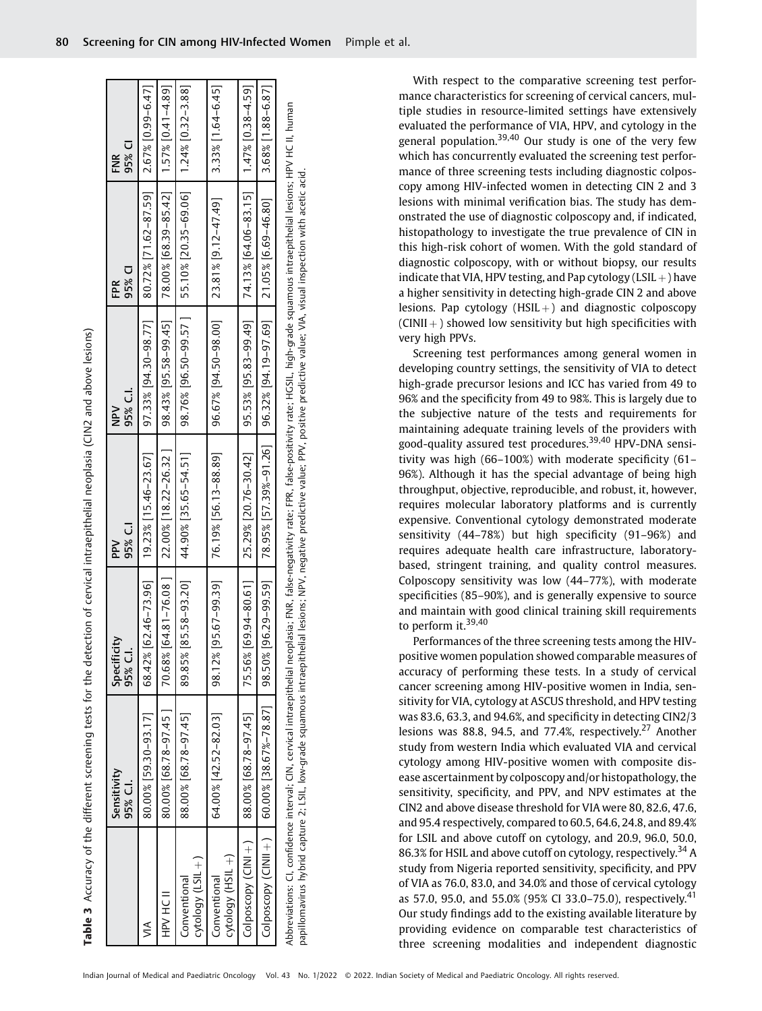Table 3 Accuracy of the different screening tests for the detection of cervical intraepithelial neoplasia (CIN2 and above lesions) Accuracy of the different screening tests for the detection of cervical intraepithelial neoplasia (CIN2 and above lesions)

|                                  | Sensitivity<br>95% C.I.                                                                                                                                                                                       | Specificity<br>95% C.I. | 95% C.I<br>PPV                                                             | 95% C.I.<br>Na<br>N                                             | 95% CI<br>FPR                                                                  | 95% CI<br>FNR        |
|----------------------------------|---------------------------------------------------------------------------------------------------------------------------------------------------------------------------------------------------------------|-------------------------|----------------------------------------------------------------------------|-----------------------------------------------------------------|--------------------------------------------------------------------------------|----------------------|
|                                  | 80.00% [59.30-93.17]                                                                                                                                                                                          | 68.42%                  | $62.46 - 73.96$ ]   19.23% [15.46-23.67]                                   | $97.33\%$ [94.30-98.77]                                         | $[ 80.72\% \, [ 71.62 - 87.59] \quad [ 2.67\% \, [ 0.99 - 6.47] \, ]$          |                      |
| HDV HC II                        | $80.00\%$ [68.78-97.45]                                                                                                                                                                                       | 70.68%                  | $64.81 - 76.08$ ] 22.00% [18.22-26.32 ]                                    | 98.43% [95.58-99.45]                                            | $\begin{bmatrix} 8.00\% & 68.39 - 85.42 \\ 1.57\% & 0.41 - 4.89 \end{bmatrix}$ |                      |
| cytology (LSIL+)<br>Conventional | 88.00% [68.78-97.45]                                                                                                                                                                                          | 85.58-93.20<br>89.85%   | $ $ 44.90% [35.65-54.51]                                                   |                                                                 | 98.76% [96.50-99.57 ]   55.10% [20.35-69.06]   1.24% [0.32-3.88]               |                      |
| (+ 1ISH) Aboloay<br>Conventional | 64.00% [42.52-82.03]                                                                                                                                                                                          | 95.67-99.39<br>98.12%   | 76.19% [56.13-88.89]                                                       | $96.67\%$ [94.50-98.00] [23.81% [9.12-47.49]                    |                                                                                | $3.33\%$ [1.64-6.45] |
| Colposcopy (CINI+)               | $[24.78 - 97.45]$                                                                                                                                                                                             | 75.56%                  | 69.94-80.61   25.29% [20.76-30.42]                                         | 95.53% [95.83-99.49]   74.13% [64.06-83.15]   1.47% [0.38-4.59] |                                                                                |                      |
|                                  | Colposcopy (CINII + )   60.00% [38.67%-78.87]   98.50%                                                                                                                                                        |                         | 96.29-99.59  78.95% [57.39%-91.26  96.32% [94.19-97.69  21.05% [6.69-46.80 |                                                                 |                                                                                | 3.68% [1.88-6.87]    |
|                                  | Abbreviations: CI, confidence interval; CIN, cervical intraepithelial neoplasia; FNR, false-negativity rate; FPR, false-positivity rate; HGSIL, high-grade squamous intraepithelial lesions; HPV HC II, human |                         |                                                                            |                                                                 |                                                                                |                      |

papillomavirus hybrid capture 2: LSIL, low-grade squamous intraepithelial lesions; NPV, negative predictive value; PPV, positive predictive value; VIA, visual inspection with acetic acid. papillomavirus hybrid capture 2; LSIL, low-grade squamous intraepithelial lesions; NPV, negative predictive value; PPV, positive predictive value; VIA, visual inspection with acetic acid.

With respect to the comparative screening test performance characteristics for screening of cervical cancers, multiple studies in resource-limited settings have extensively evaluated the performance of VIA, HPV, and cytology in the general population.<sup>39,40</sup> Our study is one of the very few which has concurrently evaluated the screening test performance of three screening tests including diagnostic colposcopy among HIV-infected women in detecting CIN 2 and 3 lesions with minimal verification bias. The study has demonstrated the use of diagnostic colposcopy and, if indicated, histopathology to investigate the true prevalence of CIN in this high-risk cohort of women. With the gold standard of diagnostic colposcopy, with or without biopsy, our results indicate that VIA, HPV testing, and Pap cytology (LSIL  $+$ ) have a higher sensitivity in detecting high-grade CIN 2 and above lesions. Pap cytology  $(HSIL + )$  and diagnostic colposcopy  $(CINII +)$  showed low sensitivity but high specificities with very high PPVs.

Screening test performances among general women in developing country settings, the sensitivity of VIA to detect high-grade precursor lesions and ICC has varied from 49 to 96% and the specificity from 49 to 98%. This is largely due to the subjective nature of the tests and requirements for maintaining adequate training levels of the providers with good-quality assured test procedures.39,40 HPV-DNA sensitivity was high (66–100%) with moderate specificity (61– 96%). Although it has the special advantage of being high throughput, objective, reproducible, and robust, it, however, requires molecular laboratory platforms and is currently expensive. Conventional cytology demonstrated moderate sensitivity (44–78%) but high specificity (91–96%) and requires adequate health care infrastructure, laboratorybased, stringent training, and quality control measures. Colposcopy sensitivity was low (44–77%), with moderate specificities (85–90%), and is generally expensive to source and maintain with good clinical training skill requirements to perform it. $39,40$ 

Performances of the three screening tests among the HIVpositive women population showed comparable measures of accuracy of performing these tests. In a study of cervical cancer screening among HIV-positive women in India, sensitivity for VIA, cytology at ASCUS threshold, and HPV testing was 83.6, 63.3, and 94.6%, and specificity in detecting CIN2/3 lesions was 88.8, 94.5, and 77.4%, respectively.<sup>27</sup> Another study from western India which evaluated VIA and cervical cytology among HIV-positive women with composite disease ascertainment by colposcopy and/or histopathology, the sensitivity, specificity, and PPV, and NPV estimates at the CIN2 and above disease threshold for VIA were 80, 82.6, 47.6, and 95.4 respectively, compared to 60.5, 64.6, 24.8, and 89.4% for LSIL and above cutoff on cytology, and 20.9, 96.0, 50.0, 86.3% for HSIL and above cutoff on cytology, respectively.<sup>34</sup> A study from Nigeria reported sensitivity, specificity, and PPV of VIA as 76.0, 83.0, and 34.0% and those of cervical cytology as 57.0, 95.0, and 55.0% (95% CI 33.0–75.0), respectively.<sup>41</sup> Our study findings add to the existing available literature by providing evidence on comparable test characteristics of three screening modalities and independent diagnostic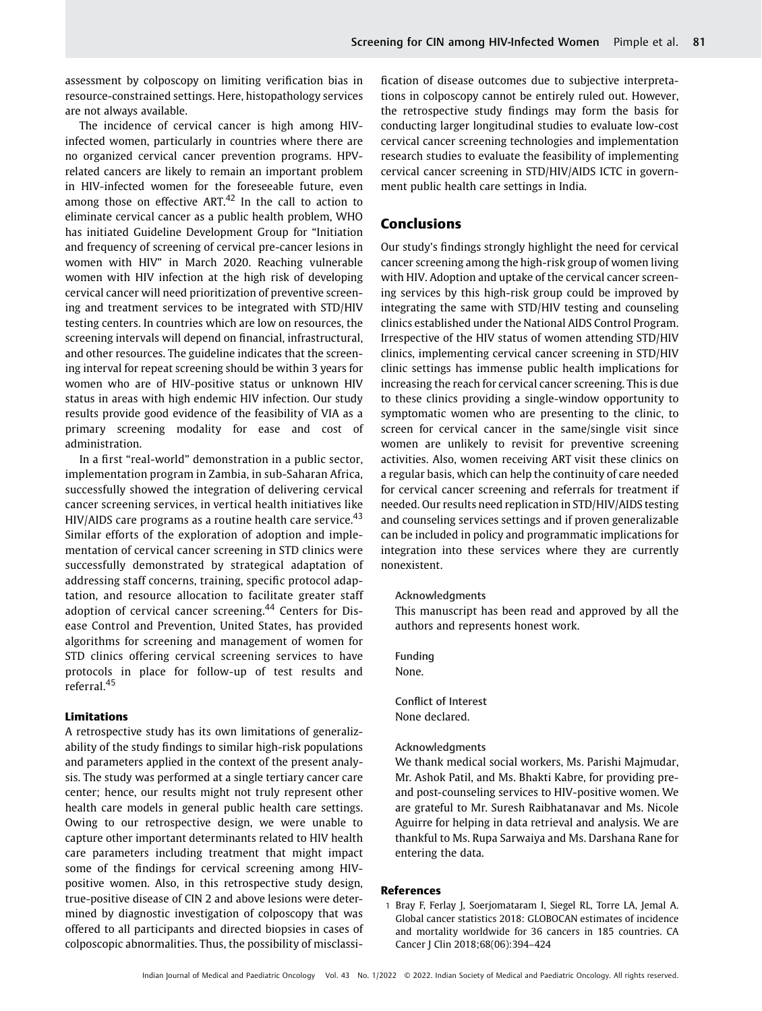assessment by colposcopy on limiting verification bias in resource-constrained settings. Here, histopathology services are not always available.

The incidence of cervical cancer is high among HIVinfected women, particularly in countries where there are no organized cervical cancer prevention programs. HPVrelated cancers are likely to remain an important problem in HIV-infected women for the foreseeable future, even among those on effective ART. $42$  In the call to action to eliminate cervical cancer as a public health problem, WHO has initiated Guideline Development Group for "Initiation and frequency of screening of cervical pre-cancer lesions in women with HIV" in March 2020. Reaching vulnerable women with HIV infection at the high risk of developing cervical cancer will need prioritization of preventive screening and treatment services to be integrated with STD/HIV testing centers. In countries which are low on resources, the screening intervals will depend on financial, infrastructural, and other resources. The guideline indicates that the screening interval for repeat screening should be within 3 years for women who are of HIV-positive status or unknown HIV status in areas with high endemic HIV infection. Our study results provide good evidence of the feasibility of VIA as a primary screening modality for ease and cost of administration.

In a first "real-world" demonstration in a public sector, implementation program in Zambia, in sub-Saharan Africa, successfully showed the integration of delivering cervical cancer screening services, in vertical health initiatives like HIV/AIDS care programs as a routine health care service. $43$ Similar efforts of the exploration of adoption and implementation of cervical cancer screening in STD clinics were successfully demonstrated by strategical adaptation of addressing staff concerns, training, specific protocol adaptation, and resource allocation to facilitate greater staff adoption of cervical cancer screening.<sup>44</sup> Centers for Disease Control and Prevention, United States, has provided algorithms for screening and management of women for STD clinics offering cervical screening services to have protocols in place for follow-up of test results and referral<sup>45</sup>

#### Limitations

A retrospective study has its own limitations of generalizability of the study findings to similar high-risk populations and parameters applied in the context of the present analysis. The study was performed at a single tertiary cancer care center; hence, our results might not truly represent other health care models in general public health care settings. Owing to our retrospective design, we were unable to capture other important determinants related to HIV health care parameters including treatment that might impact some of the findings for cervical screening among HIVpositive women. Also, in this retrospective study design, true-positive disease of CIN 2 and above lesions were determined by diagnostic investigation of colposcopy that was offered to all participants and directed biopsies in cases of colposcopic abnormalities. Thus, the possibility of misclassification of disease outcomes due to subjective interpretations in colposcopy cannot be entirely ruled out. However, the retrospective study findings may form the basis for conducting larger longitudinal studies to evaluate low-cost cervical cancer screening technologies and implementation research studies to evaluate the feasibility of implementing cervical cancer screening in STD/HIV/AIDS ICTC in government public health care settings in India.

## Conclusions

Our study's findings strongly highlight the need for cervical cancer screening among the high-risk group of women living with HIV. Adoption and uptake of the cervical cancer screening services by this high-risk group could be improved by integrating the same with STD/HIV testing and counseling clinics established under the National AIDS Control Program. Irrespective of the HIV status of women attending STD/HIV clinics, implementing cervical cancer screening in STD/HIV clinic settings has immense public health implications for increasing the reach for cervical cancer screening. This is due to these clinics providing a single-window opportunity to symptomatic women who are presenting to the clinic, to screen for cervical cancer in the same/single visit since women are unlikely to revisit for preventive screening activities. Also, women receiving ART visit these clinics on a regular basis, which can help the continuity of care needed for cervical cancer screening and referrals for treatment if needed. Our results need replication in STD/HIV/AIDS testing and counseling services settings and if proven generalizable can be included in policy and programmatic implications for integration into these services where they are currently nonexistent.

#### Acknowledgments

This manuscript has been read and approved by all the authors and represents honest work.

Funding None.

Conflict of Interest None declared.

#### Acknowledgments

We thank medical social workers, Ms. Parishi Majmudar, Mr. Ashok Patil, and Ms. Bhakti Kabre, for providing preand post-counseling services to HIV-positive women. We are grateful to Mr. Suresh Raibhatanavar and Ms. Nicole Aguirre for helping in data retrieval and analysis. We are thankful to Ms. Rupa Sarwaiya and Ms. Darshana Rane for entering the data.

#### References

1 Bray F, Ferlay J, Soerjomataram I, Siegel RL, Torre LA, Jemal A. Global cancer statistics 2018: GLOBOCAN estimates of incidence and mortality worldwide for 36 cancers in 185 countries. CA Cancer J Clin 2018;68(06):394–424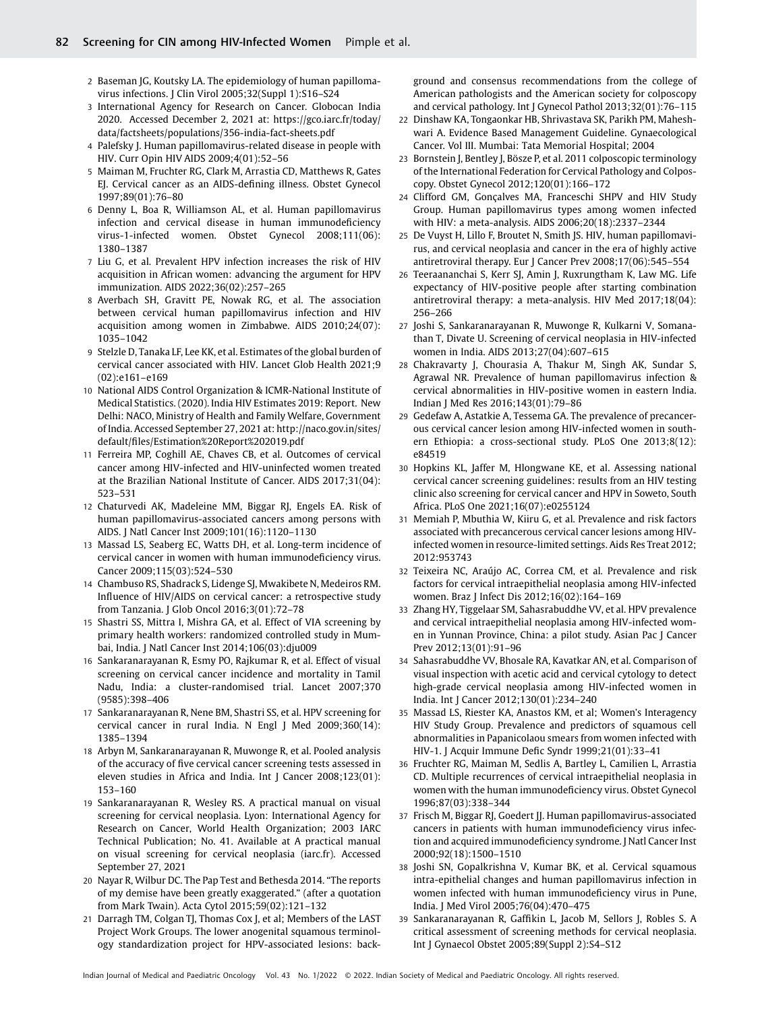- 2 Baseman JG, Koutsky LA. The epidemiology of human papillomavirus infections. J Clin Virol 2005;32(Suppl 1):S16–S24
- 3 International Agency for Research on Cancer. Globocan India 2020. Accessed December 2, 2021 at: [https://gco.iarc.fr/today/](https://gco.iarc.fr/today/data/factsheets/populations/356-india-fact-sheets.pdf) [data/factsheets/populations/356-india-fact-sheets.pdf](https://gco.iarc.fr/today/data/factsheets/populations/356-india-fact-sheets.pdf)
- 4 Palefsky J. Human papillomavirus-related disease in people with HIV. Curr Opin HIV AIDS 2009;4(01):52–56
- 5 Maiman M, Fruchter RG, Clark M, Arrastia CD, Matthews R, Gates EJ. Cervical cancer as an AIDS-defining illness. Obstet Gynecol 1997;89(01):76–80
- 6 Denny L, Boa R, Williamson AL, et al. Human papillomavirus infection and cervical disease in human immunodeficiency virus-1-infected women. Obstet Gynecol 2008;111(06): 1380–1387
- 7 Liu G, et al. Prevalent HPV infection increases the risk of HIV acquisition in African women: advancing the argument for HPV immunization. AIDS 2022;36(02):257–265
- 8 Averbach SH, Gravitt PE, Nowak RG, et al. The association between cervical human papillomavirus infection and HIV acquisition among women in Zimbabwe. AIDS 2010;24(07): 1035–1042
- 9 Stelzle D, Tanaka LF, Lee KK, et al. Estimates of the global burden of cervical cancer associated with HIV. Lancet Glob Health 2021;9 (02):e161–e169
- 10 National AIDS Control Organization & ICMR-National Institute of Medical Statistics. (2020). India HIV Estimates 2019: Report. New Delhi: NACO, Ministry of Health and Family Welfare, Government of India. Accessed September 27, 2021 at: [http://naco.gov.in/sites/](http://naco.gov.in/sites/default/files/Estimation&x0025;20Report&x0025;202019.pdf) default/fi[les/Estimation%20Report%202019.pdf](http://naco.gov.in/sites/default/files/Estimation&x0025;20Report&x0025;202019.pdf)
- 11 Ferreira MP, Coghill AE, Chaves CB, et al. Outcomes of cervical cancer among HIV-infected and HIV-uninfected women treated at the Brazilian National Institute of Cancer. AIDS 2017;31(04): 523–531
- 12 Chaturvedi AK, Madeleine MM, Biggar RJ, Engels EA. Risk of human papillomavirus-associated cancers among persons with AIDS. J Natl Cancer Inst 2009;101(16):1120–1130
- 13 Massad LS, Seaberg EC, Watts DH, et al. Long-term incidence of cervical cancer in women with human immunodeficiency virus. Cancer 2009;115(03):524–530
- 14 Chambuso RS, Shadrack S, Lidenge SJ, Mwakibete N, Medeiros RM. Influence of HIV/AIDS on cervical cancer: a retrospective study from Tanzania. J Glob Oncol 2016;3(01):72–78
- 15 Shastri SS, Mittra I, Mishra GA, et al. Effect of VIA screening by primary health workers: randomized controlled study in Mumbai, India. J Natl Cancer Inst 2014;106(03):dju009
- 16 Sankaranarayanan R, Esmy PO, Rajkumar R, et al. Effect of visual screening on cervical cancer incidence and mortality in Tamil Nadu, India: a cluster-randomised trial. Lancet 2007;370 (9585):398–406
- 17 Sankaranarayanan R, Nene BM, Shastri SS, et al. HPV screening for cervical cancer in rural India. N Engl J Med 2009;360(14): 1385–1394
- 18 Arbyn M, Sankaranarayanan R, Muwonge R, et al. Pooled analysis of the accuracy of five cervical cancer screening tests assessed in eleven studies in Africa and India. Int J Cancer 2008;123(01): 153–160
- 19 Sankaranarayanan R, Wesley RS. A practical manual on visual screening for cervical neoplasia. Lyon: International Agency for Research on Cancer, World Health Organization; 2003 IARC Technical Publication; No. 41. Available at A practical manual on visual screening for cervical neoplasia (iarc.fr). Accessed September 27, 2021
- 20 Nayar R, Wilbur DC. The Pap Test and Bethesda 2014. "The reports of my demise have been greatly exaggerated." (after a quotation from Mark Twain). Acta Cytol 2015;59(02):121–132
- 21 Darragh TM, Colgan TJ, Thomas Cox J, et al; Members of the LAST Project Work Groups. The lower anogenital squamous terminology standardization project for HPV-associated lesions: back-

ground and consensus recommendations from the college of American pathologists and the American society for colposcopy and cervical pathology. Int J Gynecol Pathol 2013;32(01):76–115

- 22 Dinshaw KA, Tongaonkar HB, Shrivastava SK, Parikh PM, Maheshwari A. Evidence Based Management Guideline. Gynaecological Cancer. Vol III. Mumbai: Tata Memorial Hospital; 2004
- 23 Bornstein J, Bentley J, Bösze P, et al. 2011 colposcopic terminology of the International Federation for Cervical Pathology and Colposcopy. Obstet Gynecol 2012;120(01):166–172
- 24 Clifford GM, Gonçalves MA, Franceschi SHPV and HIV Study Group. Human papillomavirus types among women infected with HIV: a meta-analysis. AIDS 2006;20(18):2337–2344
- 25 De Vuyst H, Lillo F, Broutet N, Smith JS. HIV, human papillomavirus, and cervical neoplasia and cancer in the era of highly active antiretroviral therapy. Eur J Cancer Prev 2008;17(06):545–554
- 26 Teeraananchai S, Kerr SJ, Amin J, Ruxrungtham K, Law MG. Life expectancy of HIV-positive people after starting combination antiretroviral therapy: a meta-analysis. HIV Med 2017;18(04): 256–266
- 27 Joshi S, Sankaranarayanan R, Muwonge R, Kulkarni V, Somanathan T, Divate U. Screening of cervical neoplasia in HIV-infected women in India. AIDS 2013;27(04):607–615
- 28 Chakravarty J, Chourasia A, Thakur M, Singh AK, Sundar S, Agrawal NR. Prevalence of human papillomavirus infection & cervical abnormalities in HIV-positive women in eastern India. Indian J Med Res 2016;143(01):79–86
- 29 Gedefaw A, Astatkie A, Tessema GA. The prevalence of precancerous cervical cancer lesion among HIV-infected women in southern Ethiopia: a cross-sectional study. PLoS One 2013;8(12): e84519
- 30 Hopkins KL, Jaffer M, Hlongwane KE, et al. Assessing national cervical cancer screening guidelines: results from an HIV testing clinic also screening for cervical cancer and HPV in Soweto, South Africa. PLoS One 2021;16(07):e0255124
- 31 Memiah P, Mbuthia W, Kiiru G, et al. Prevalence and risk factors associated with precancerous cervical cancer lesions among HIVinfected women in resource-limited settings. Aids Res Treat 2012; 2012:953743
- 32 Teixeira NC, Araújo AC, Correa CM, et al. Prevalence and risk factors for cervical intraepithelial neoplasia among HIV-infected women. Braz J Infect Dis 2012;16(02):164–169
- 33 Zhang HY, Tiggelaar SM, Sahasrabuddhe VV, et al. HPV prevalence and cervical intraepithelial neoplasia among HIV-infected women in Yunnan Province, China: a pilot study. Asian Pac J Cancer Prev 2012;13(01):91–96
- 34 Sahasrabuddhe VV, Bhosale RA, Kavatkar AN, et al. Comparison of visual inspection with acetic acid and cervical cytology to detect high-grade cervical neoplasia among HIV-infected women in India. Int J Cancer 2012;130(01):234–240
- 35 Massad LS, Riester KA, Anastos KM, et al; Women's Interagency HIV Study Group. Prevalence and predictors of squamous cell abnormalities in Papanicolaou smears from women infected with HIV-1. J Acquir Immune Defic Syndr 1999;21(01):33–41
- 36 Fruchter RG, Maiman M, Sedlis A, Bartley L, Camilien L, Arrastia CD. Multiple recurrences of cervical intraepithelial neoplasia in women with the human immunodeficiency virus. Obstet Gynecol 1996;87(03):338–344
- 37 Frisch M, Biggar RJ, Goedert JJ. Human papillomavirus-associated cancers in patients with human immunodeficiency virus infection and acquired immunodeficiency syndrome. J Natl Cancer Inst 2000;92(18):1500–1510
- 38 Joshi SN, Gopalkrishna V, Kumar BK, et al. Cervical squamous intra-epithelial changes and human papillomavirus infection in women infected with human immunodeficiency virus in Pune, India. J Med Virol 2005;76(04):470–475
- 39 Sankaranarayanan R, Gaffikin L, Jacob M, Sellors J, Robles S. A critical assessment of screening methods for cervical neoplasia. Int J Gynaecol Obstet 2005;89(Suppl 2):S4–S12